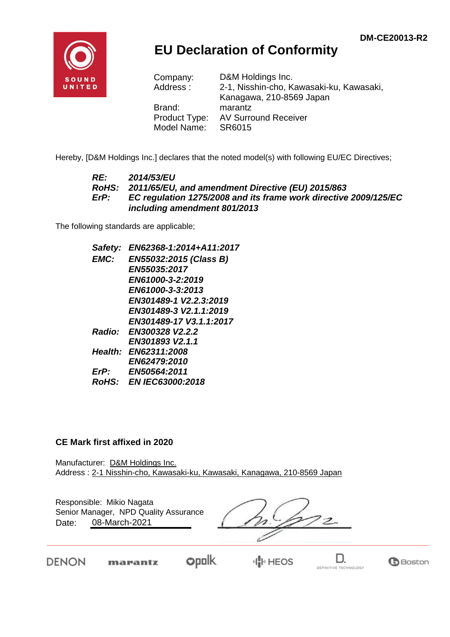

## **EU Declaration of Conformity**

| D&M Holdings Inc.                        |
|------------------------------------------|
| 2-1, Nisshin-cho, Kawasaki-ku, Kawasaki, |
| Kanagawa, 210-8569 Japan                 |
| marantz                                  |
| <b>AV Surround Receiver</b>              |
| SR6015                                   |
|                                          |

Hereby, [D&M Holdings Inc.] declares that the noted model(s) with following EU/EC Directives;

#### *RE: 2014/53/EU RoHS: 2011/65/EU, and amendment Directive (EU) 2015/863 ErP: EC regulation 1275/2008 and its frame work directive 2009/125/EC including amendment 801/2013*

The following standards are applicable;

*Safety: EN62368-1:2014+A11:2017 EMC: EN55032:2015 (Class B) EN55035:2017 EN61000-3-2:2019 EN61000-3-3:2013 EN301489-1 V2.2.3:2019 EN301489-3 V2.1.1:2019 EN301489-17 V3.1.1:2017 Radio: EN300328 V2.2.2 EN301893 V2.1.1 Health: EN62311:2008 EN62479:2010 ErP: EN50564:2011 RoHS: EN IEC63000:2018*

#### **CE Mark first affixed in 2020**

marantz

DENON

Manufacturer: D&M Holdings Inc. Address : 2-1 Nisshin-cho, Kawasaki-ku, Kawasaki, Kanagawa, 210-8569 Japan

| Date: | Responsible: Mikio Nagata<br>Senior Manager, NPD Quality Assurance<br>08-March-2021 |  |  |
|-------|-------------------------------------------------------------------------------------|--|--|
|       |                                                                                     |  |  |

**opolk** 

H<mark>I</mark>II HEOS